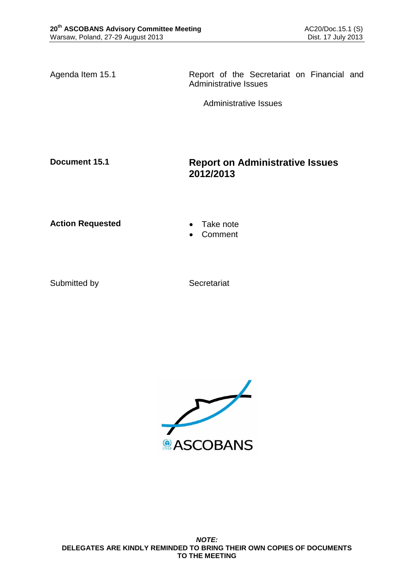Agenda Item 15.1 **Report of the Secretariat on Financial and** Administrative Issues

Administrative Issues

# **Document 15.1 Report on Administrative Issues 2012/2013**

Action Requested **Canadian Exercise Action Requested Canadian Exercise** 

- 
- Comment

Submitted by Secretariat

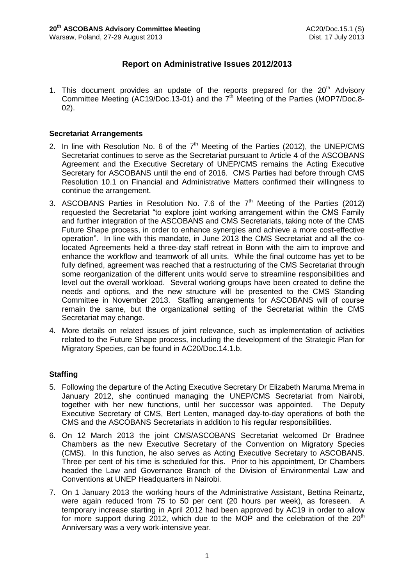# **Report on Administrative Issues 2012/2013**

1. This document provides an update of the reports prepared for the  $20<sup>th</sup>$  Advisory Committee Meeting (AC19/Doc.13-01) and the  $7<sup>th</sup>$  Meeting of the Parties (MOP7/Doc.8-02).

### **Secretariat Arrangements**

- 2. In line with Resolution No. 6 of the  $7<sup>th</sup>$  Meeting of the Parties (2012), the UNEP/CMS Secretariat continues to serve as the Secretariat pursuant to Article 4 of the ASCOBANS Agreement and the Executive Secretary of UNEP/CMS remains the Acting Executive Secretary for ASCOBANS until the end of 2016. CMS Parties had before through CMS Resolution 10.1 on Financial and Administrative Matters confirmed their willingness to continue the arrangement.
- 3. ASCOBANS Parties in Resolution No. 7.6 of the  $7<sup>th</sup>$  Meeting of the Parties (2012) requested the Secretariat "to explore joint working arrangement within the CMS Family and further integration of the ASCOBANS and CMS Secretariats, taking note of the CMS Future Shape process, in order to enhance synergies and achieve a more cost-effective operation". In line with this mandate, in June 2013 the CMS Secretariat and all the colocated Agreements held a three-day staff retreat in Bonn with the aim to improve and enhance the workflow and teamwork of all units. While the final outcome has yet to be fully defined, agreement was reached that a restructuring of the CMS Secretariat through some reorganization of the different units would serve to streamline responsibilities and level out the overall workload. Several working groups have been created to define the needs and options, and the new structure will be presented to the CMS Standing Committee in November 2013. Staffing arrangements for ASCOBANS will of course remain the same, but the organizational setting of the Secretariat within the CMS Secretariat may change.
- 4. More details on related issues of joint relevance, such as implementation of activities related to the Future Shape process, including the development of the Strategic Plan for Migratory Species, can be found in AC20/Doc.14.1.b.

## **Staffing**

- 5. Following the departure of the Acting Executive Secretary Dr Elizabeth Maruma Mrema in January 2012, she continued managing the UNEP/CMS Secretariat from Nairobi, together with her new functions, until her successor was appointed. The Deputy Executive Secretary of CMS, Bert Lenten, managed day-to-day operations of both the CMS and the ASCOBANS Secretariats in addition to his regular responsibilities.
- 6. On 12 March 2013 the joint CMS/ASCOBANS Secretariat welcomed Dr Bradnee Chambers as the new Executive Secretary of the Convention on Migratory Species (CMS). In this function, he also serves as Acting Executive Secretary to ASCOBANS. Three per cent of his time is scheduled for this. Prior to his appointment, Dr Chambers headed the Law and Governance Branch of the Division of Environmental Law and Conventions at UNEP Headquarters in Nairobi.
- 7. On 1 January 2013 the working hours of the Administrative Assistant, Bettina Reinartz, were again reduced from 75 to 50 per cent (20 hours per week), as foreseen. A temporary increase starting in April 2012 had been approved by AC19 in order to allow for more support during 2012, which due to the MOP and the celebration of the  $20<sup>th</sup>$ Anniversary was a very work-intensive year.